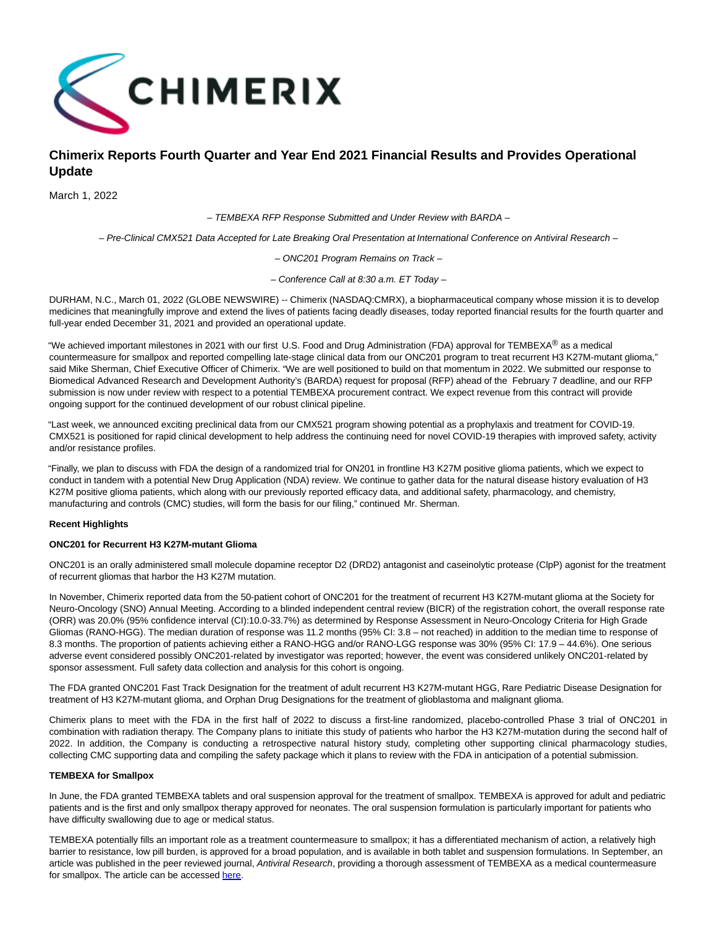

# **Chimerix Reports Fourth Quarter and Year End 2021 Financial Results and Provides Operational Update**

March 1, 2022

– TEMBEXA RFP Response Submitted and Under Review with BARDA –

– Pre-Clinical CMX521 Data Accepted for Late Breaking Oral Presentation at International Conference on Antiviral Research –

– ONC201 Program Remains on Track –

– Conference Call at 8:30 a.m. ET Today –

DURHAM, N.C., March 01, 2022 (GLOBE NEWSWIRE) -- Chimerix (NASDAQ:CMRX), a biopharmaceutical company whose mission it is to develop medicines that meaningfully improve and extend the lives of patients facing deadly diseases, today reported financial results for the fourth quarter and full-year ended December 31, 2021 and provided an operational update.

"We achieved important milestones in 2021 with our first U.S. Food and Drug Administration (FDA) approval for TEMBEXA® as a medical countermeasure for smallpox and reported compelling late-stage clinical data from our ONC201 program to treat recurrent H3 K27M-mutant glioma," said Mike Sherman, Chief Executive Officer of Chimerix. "We are well positioned to build on that momentum in 2022. We submitted our response to Biomedical Advanced Research and Development Authority's (BARDA) request for proposal (RFP) ahead of the February 7 deadline, and our RFP submission is now under review with respect to a potential TEMBEXA procurement contract. We expect revenue from this contract will provide ongoing support for the continued development of our robust clinical pipeline.

"Last week, we announced exciting preclinical data from our CMX521 program showing potential as a prophylaxis and treatment for COVID-19. CMX521 is positioned for rapid clinical development to help address the continuing need for novel COVID-19 therapies with improved safety, activity and/or resistance profiles.

"Finally, we plan to discuss with FDA the design of a randomized trial for ON201 in frontline H3 K27M positive glioma patients, which we expect to conduct in tandem with a potential New Drug Application (NDA) review. We continue to gather data for the natural disease history evaluation of H3 K27M positive glioma patients, which along with our previously reported efficacy data, and additional safety, pharmacology, and chemistry, manufacturing and controls (CMC) studies, will form the basis for our filing," continued Mr. Sherman.

## **Recent Highlights**

## **ONC201 for Recurrent H3 K27M-mutant Glioma**

ONC201 is an orally administered small molecule dopamine receptor D2 (DRD2) antagonist and caseinolytic protease (ClpP) agonist for the treatment of recurrent gliomas that harbor the H3 K27M mutation.

In November, Chimerix reported data from the 50-patient cohort of ONC201 for the treatment of recurrent H3 K27M-mutant glioma at the Society for Neuro-Oncology (SNO) Annual Meeting. According to a blinded independent central review (BICR) of the registration cohort, the overall response rate (ORR) was 20.0% (95% confidence interval (CI):10.0-33.7%) as determined by Response Assessment in Neuro-Oncology Criteria for High Grade Gliomas (RANO-HGG). The median duration of response was 11.2 months (95% CI: 3.8 – not reached) in addition to the median time to response of 8.3 months. The proportion of patients achieving either a RANO-HGG and/or RANO-LGG response was 30% (95% CI: 17.9 – 44.6%). One serious adverse event considered possibly ONC201-related by investigator was reported; however, the event was considered unlikely ONC201-related by sponsor assessment. Full safety data collection and analysis for this cohort is ongoing.

The FDA granted ONC201 Fast Track Designation for the treatment of adult recurrent H3 K27M-mutant HGG, Rare Pediatric Disease Designation for treatment of H3 K27M-mutant glioma, and Orphan Drug Designations for the treatment of glioblastoma and malignant glioma.

Chimerix plans to meet with the FDA in the first half of 2022 to discuss a first-line randomized, placebo-controlled Phase 3 trial of ONC201 in combination with radiation therapy. The Company plans to initiate this study of patients who harbor the H3 K27M-mutation during the second half of 2022. In addition, the Company is conducting a retrospective natural history study, completing other supporting clinical pharmacology studies, collecting CMC supporting data and compiling the safety package which it plans to review with the FDA in anticipation of a potential submission.

## **TEMBEXA for Smallpox**

In June, the FDA granted TEMBEXA tablets and oral suspension approval for the treatment of smallpox. TEMBEXA is approved for adult and pediatric patients and is the first and only smallpox therapy approved for neonates. The oral suspension formulation is particularly important for patients who have difficulty swallowing due to age or medical status.

TEMBEXA potentially fills an important role as a treatment countermeasure to smallpox; it has a differentiated mechanism of action, a relatively high barrier to resistance, low pill burden, is approved for a broad population, and is available in both tablet and suspension formulations. In September, an article was published in the peer reviewed journal, Antiviral Research, providing a thorough assessment of TEMBEXA as a medical countermeasure for smallpox. The article can be accessed [here.](https://www.globenewswire.com/Tracker?data=JA4QwAfS8sDYVafHeOUH41BHlqhl3nz7o4ufzIi38Wna7MnohuX7QEMapRhftOJduMWk-RGaGB7szfS2iHZSw9Kv58nVwSwHWvqwjwKihl0=)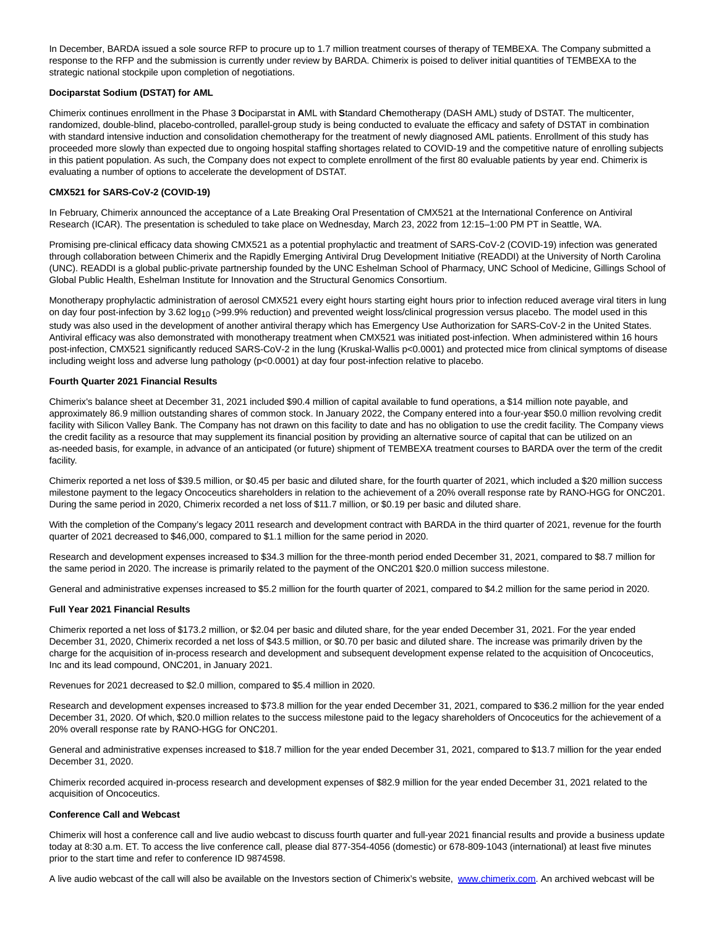In December, BARDA issued a sole source RFP to procure up to 1.7 million treatment courses of therapy of TEMBEXA. The Company submitted a response to the RFP and the submission is currently under review by BARDA. Chimerix is poised to deliver initial quantities of TEMBEXA to the strategic national stockpile upon completion of negotiations.

## **Dociparstat Sodium (DSTAT) for AML**

Chimerix continues enrollment in the Phase 3 **D**ociparstat in **A**ML with **S**tandard C**h**emotherapy (DASH AML) study of DSTAT. The multicenter, randomized, double-blind, placebo-controlled, parallel-group study is being conducted to evaluate the efficacy and safety of DSTAT in combination with standard intensive induction and consolidation chemotherapy for the treatment of newly diagnosed AML patients. Enrollment of this study has proceeded more slowly than expected due to ongoing hospital staffing shortages related to COVID-19 and the competitive nature of enrolling subjects in this patient population. As such, the Company does not expect to complete enrollment of the first 80 evaluable patients by year end. Chimerix is evaluating a number of options to accelerate the development of DSTAT.

### **CMX521 for SARS-CoV-2 (COVID-19)**

In February, Chimerix announced the acceptance of a Late Breaking Oral Presentation of CMX521 at the International Conference on Antiviral Research (ICAR). The presentation is scheduled to take place on Wednesday, March 23, 2022 from 12:15–1:00 PM PT in Seattle, WA.

Promising pre-clinical efficacy data showing CMX521 as a potential prophylactic and treatment of SARS-CoV-2 (COVID-19) infection was generated through collaboration between Chimerix and the Rapidly Emerging Antiviral Drug Development Initiative (READDI) at the University of North Carolina (UNC). READDI is a global public-private partnership founded by the UNC Eshelman School of Pharmacy, UNC School of Medicine, Gillings School of Global Public Health, Eshelman Institute for Innovation and the Structural Genomics Consortium.

Monotherapy prophylactic administration of aerosol CMX521 every eight hours starting eight hours prior to infection reduced average viral titers in lung on day four post-infection by 3.62 log<sub>10</sub> (>99.9% reduction) and prevented weight loss/clinical progression versus placebo. The model used in this study was also used in the development of another antiviral therapy which has Emergency Use Authorization for SARS-CoV-2 in the United States. Antiviral efficacy was also demonstrated with monotherapy treatment when CMX521 was initiated post-infection. When administered within 16 hours post-infection, CMX521 significantly reduced SARS-CoV-2 in the lung (Kruskal-Wallis p<0.0001) and protected mice from clinical symptoms of disease including weight loss and adverse lung pathology (p<0.0001) at day four post-infection relative to placebo.

## **Fourth Quarter 2021 Financial Results**

Chimerix's balance sheet at December 31, 2021 included \$90.4 million of capital available to fund operations, a \$14 million note payable, and approximately 86.9 million outstanding shares of common stock. In January 2022, the Company entered into a four-year \$50.0 million revolving credit facility with Silicon Valley Bank. The Company has not drawn on this facility to date and has no obligation to use the credit facility. The Company views the credit facility as a resource that may supplement its financial position by providing an alternative source of capital that can be utilized on an as-needed basis, for example, in advance of an anticipated (or future) shipment of TEMBEXA treatment courses to BARDA over the term of the credit facility.

Chimerix reported a net loss of \$39.5 million, or \$0.45 per basic and diluted share, for the fourth quarter of 2021, which included a \$20 million success milestone payment to the legacy Oncoceutics shareholders in relation to the achievement of a 20% overall response rate by RANO-HGG for ONC201. During the same period in 2020, Chimerix recorded a net loss of \$11.7 million, or \$0.19 per basic and diluted share.

With the completion of the Company's legacy 2011 research and development contract with BARDA in the third quarter of 2021, revenue for the fourth quarter of 2021 decreased to \$46,000, compared to \$1.1 million for the same period in 2020.

Research and development expenses increased to \$34.3 million for the three-month period ended December 31, 2021, compared to \$8.7 million for the same period in 2020. The increase is primarily related to the payment of the ONC201 \$20.0 million success milestone.

General and administrative expenses increased to \$5.2 million for the fourth quarter of 2021, compared to \$4.2 million for the same period in 2020.

#### **Full Year 2021 Financial Results**

Chimerix reported a net loss of \$173.2 million, or \$2.04 per basic and diluted share, for the year ended December 31, 2021. For the year ended December 31, 2020, Chimerix recorded a net loss of \$43.5 million, or \$0.70 per basic and diluted share. The increase was primarily driven by the charge for the acquisition of in-process research and development and subsequent development expense related to the acquisition of Oncoceutics, Inc and its lead compound, ONC201, in January 2021.

Revenues for 2021 decreased to \$2.0 million, compared to \$5.4 million in 2020.

Research and development expenses increased to \$73.8 million for the year ended December 31, 2021, compared to \$36.2 million for the year ended December 31, 2020. Of which, \$20.0 million relates to the success milestone paid to the legacy shareholders of Oncoceutics for the achievement of a 20% overall response rate by RANO-HGG for ONC201.

General and administrative expenses increased to \$18.7 million for the year ended December 31, 2021, compared to \$13.7 million for the year ended December 31, 2020.

Chimerix recorded acquired in-process research and development expenses of \$82.9 million for the year ended December 31, 2021 related to the acquisition of Oncoceutics.

#### **Conference Call and Webcast**

Chimerix will host a conference call and live audio webcast to discuss fourth quarter and full-year 2021 financial results and provide a business update today at 8:30 a.m. ET. To access the live conference call, please dial 877-354-4056 (domestic) or 678-809-1043 (international) at least five minutes prior to the start time and refer to conference ID 9874598.

A live audio webcast of the call will also be available on the Investors section of Chimerix's website, [www.chimerix.com.](https://www.globenewswire.com/Tracker?data=oC2ghZOWJ1RBvDVrFKgQUFQsCKtazG4y8O9t-25f0ZccN2Wq_AbQNmoU8JbltEBycGPiRDNoQng2_TQPx5nziw==) An archived webcast will be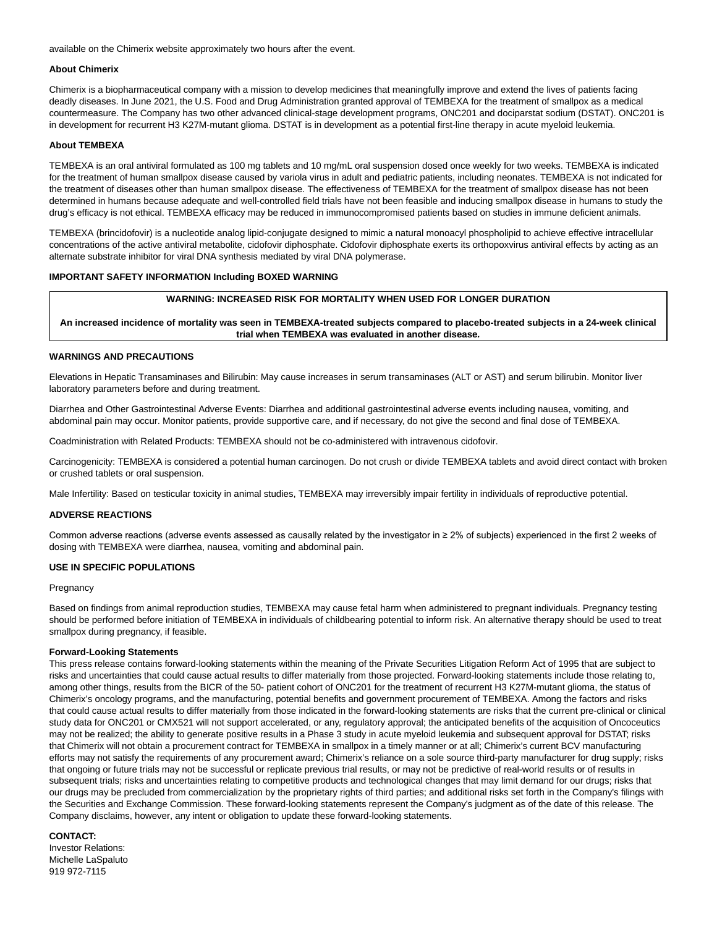available on the Chimerix website approximately two hours after the event.

#### **About Chimerix**

Chimerix is a biopharmaceutical company with a mission to develop medicines that meaningfully improve and extend the lives of patients facing deadly diseases. In June 2021, the U.S. Food and Drug Administration granted approval of TEMBEXA for the treatment of smallpox as a medical countermeasure. The Company has two other advanced clinical-stage development programs, ONC201 and dociparstat sodium (DSTAT). ONC201 is in development for recurrent H3 K27M-mutant glioma. DSTAT is in development as a potential first-line therapy in acute myeloid leukemia.

## **About TEMBEXA**

TEMBEXA is an oral antiviral formulated as 100 mg tablets and 10 mg/mL oral suspension dosed once weekly for two weeks. TEMBEXA is indicated for the treatment of human smallpox disease caused by variola virus in adult and pediatric patients, including neonates. TEMBEXA is not indicated for the treatment of diseases other than human smallpox disease. The effectiveness of TEMBEXA for the treatment of smallpox disease has not been determined in humans because adequate and well-controlled field trials have not been feasible and inducing smallpox disease in humans to study the drug's efficacy is not ethical. TEMBEXA efficacy may be reduced in immunocompromised patients based on studies in immune deficient animals.

TEMBEXA (brincidofovir) is a nucleotide analog lipid-conjugate designed to mimic a natural monoacyl phospholipid to achieve effective intracellular concentrations of the active antiviral metabolite, cidofovir diphosphate. Cidofovir diphosphate exerts its orthopoxvirus antiviral effects by acting as an alternate substrate inhibitor for viral DNA synthesis mediated by viral DNA polymerase.

### **IMPORTANT SAFETY INFORMATION Including BOXED WARNING**

#### **WARNING: INCREASED RISK FOR MORTALITY WHEN USED FOR LONGER DURATION**

## **An increased incidence of mortality was seen in TEMBEXA-treated subjects compared to placebo-treated subjects in a 24-week clinical trial when TEMBEXA was evaluated in another disease.**

### **WARNINGS AND PRECAUTIONS**

Elevations in Hepatic Transaminases and Bilirubin: May cause increases in serum transaminases (ALT or AST) and serum bilirubin. Monitor liver laboratory parameters before and during treatment.

Diarrhea and Other Gastrointestinal Adverse Events: Diarrhea and additional gastrointestinal adverse events including nausea, vomiting, and abdominal pain may occur. Monitor patients, provide supportive care, and if necessary, do not give the second and final dose of TEMBEXA.

Coadministration with Related Products: TEMBEXA should not be co-administered with intravenous cidofovir.

Carcinogenicity: TEMBEXA is considered a potential human carcinogen. Do not crush or divide TEMBEXA tablets and avoid direct contact with broken or crushed tablets or oral suspension.

Male Infertility: Based on testicular toxicity in animal studies, TEMBEXA may irreversibly impair fertility in individuals of reproductive potential.

#### **ADVERSE REACTIONS**

Common adverse reactions (adverse events assessed as causally related by the investigator in ≥ 2% of subjects) experienced in the first 2 weeks of dosing with TEMBEXA were diarrhea, nausea, vomiting and abdominal pain.

## **USE IN SPECIFIC POPULATIONS**

#### Pregnancy

Based on findings from animal reproduction studies, TEMBEXA may cause fetal harm when administered to pregnant individuals. Pregnancy testing should be performed before initiation of TEMBEXA in individuals of childbearing potential to inform risk. An alternative therapy should be used to treat smallpox during pregnancy, if feasible.

#### **Forward-Looking Statements**

This press release contains forward-looking statements within the meaning of the Private Securities Litigation Reform Act of 1995 that are subject to risks and uncertainties that could cause actual results to differ materially from those projected. Forward-looking statements include those relating to, among other things, results from the BICR of the 50- patient cohort of ONC201 for the treatment of recurrent H3 K27M-mutant glioma, the status of Chimerix's oncology programs, and the manufacturing, potential benefits and government procurement of TEMBEXA. Among the factors and risks that could cause actual results to differ materially from those indicated in the forward-looking statements are risks that the current pre-clinical or clinical study data for ONC201 or CMX521 will not support accelerated, or any, regulatory approval; the anticipated benefits of the acquisition of Oncoceutics may not be realized; the ability to generate positive results in a Phase 3 study in acute myeloid leukemia and subsequent approval for DSTAT; risks that Chimerix will not obtain a procurement contract for TEMBEXA in smallpox in a timely manner or at all; Chimerix's current BCV manufacturing efforts may not satisfy the requirements of any procurement award; Chimerix's reliance on a sole source third-party manufacturer for drug supply; risks that ongoing or future trials may not be successful or replicate previous trial results, or may not be predictive of real-world results or of results in subsequent trials; risks and uncertainties relating to competitive products and technological changes that may limit demand for our drugs; risks that our drugs may be precluded from commercialization by the proprietary rights of third parties; and additional risks set forth in the Company's filings with the Securities and Exchange Commission. These forward-looking statements represent the Company's judgment as of the date of this release. The Company disclaims, however, any intent or obligation to update these forward-looking statements.

#### **CONTACT:**

Investor Relations: Michelle LaSpaluto 919 972-7115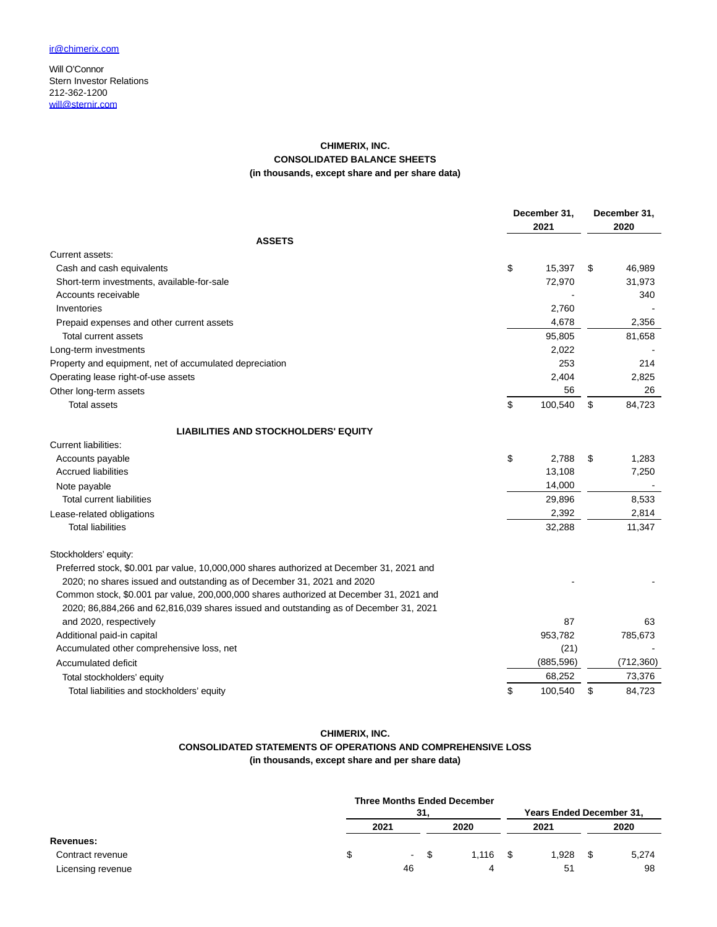Will O'Connor Stern Investor Relations 212-362-1200 [will@sternir.com](https://www.globenewswire.com/Tracker?data=Nrjm5vmDqr-tYkjvTVumlAOFaMvXywCOxE1GvjxcHk7WfdZIMecI4N3vIEcT67e_QM0vcvPNZTBrcWZZTOH8Aw==)

## **CHIMERIX, INC. CONSOLIDATED BALANCE SHEETS (in thousands, except share and per share data)**

|                                                                                           |    | December 31,<br>2021 |    | December 31,<br>2020 |  |
|-------------------------------------------------------------------------------------------|----|----------------------|----|----------------------|--|
| <b>ASSETS</b>                                                                             |    |                      |    |                      |  |
| Current assets:                                                                           |    |                      |    |                      |  |
| Cash and cash equivalents                                                                 | \$ | 15,397               | \$ | 46,989               |  |
| Short-term investments, available-for-sale                                                |    | 72,970               |    | 31,973               |  |
| Accounts receivable                                                                       |    |                      |    | 340                  |  |
| Inventories                                                                               |    | 2.760                |    |                      |  |
| Prepaid expenses and other current assets                                                 |    | 4,678                |    | 2,356                |  |
| Total current assets                                                                      |    | 95,805               |    | 81,658               |  |
| Long-term investments                                                                     |    | 2,022                |    |                      |  |
| Property and equipment, net of accumulated depreciation                                   |    | 253                  |    | 214                  |  |
| Operating lease right-of-use assets                                                       |    | 2,404                |    | 2.825                |  |
| Other long-term assets                                                                    |    | 56                   |    | 26                   |  |
| <b>Total assets</b>                                                                       | \$ | 100,540              | \$ | 84,723               |  |
| <b>LIABILITIES AND STOCKHOLDERS' EQUITY</b>                                               |    |                      |    |                      |  |
| <b>Current liabilities:</b>                                                               |    |                      |    |                      |  |
| Accounts payable                                                                          | \$ | 2,788                | \$ | 1,283                |  |
| <b>Accrued liabilities</b>                                                                |    | 13,108               |    | 7,250                |  |
| Note payable                                                                              |    | 14,000               |    |                      |  |
| <b>Total current liabilities</b>                                                          |    | 29,896               |    | 8,533                |  |
| Lease-related obligations                                                                 |    | 2,392                |    | 2,814                |  |
| <b>Total liabilities</b>                                                                  |    | 32,288               |    | 11,347               |  |
| Stockholders' equity:                                                                     |    |                      |    |                      |  |
| Preferred stock, \$0.001 par value, 10,000,000 shares authorized at December 31, 2021 and |    |                      |    |                      |  |
| 2020; no shares issued and outstanding as of December 31, 2021 and 2020                   |    |                      |    |                      |  |
| Common stock, \$0.001 par value, 200,000,000 shares authorized at December 31, 2021 and   |    |                      |    |                      |  |
| 2020; 86,884,266 and 62,816,039 shares issued and outstanding as of December 31, 2021     |    |                      |    |                      |  |
| and 2020, respectively                                                                    |    | 87                   |    | 63                   |  |
| Additional paid-in capital                                                                |    | 953,782              |    | 785,673              |  |
| Accumulated other comprehensive loss, net                                                 |    | (21)                 |    |                      |  |
| Accumulated deficit                                                                       |    | (885, 596)           |    | (712, 360)           |  |
| Total stockholders' equity                                                                |    | 68,252               |    | 73,376               |  |
| Total liabilities and stockholders' equity                                                | \$ | 100,540              | \$ | 84,723               |  |

## **CHIMERIX, INC.**

## **CONSOLIDATED STATEMENTS OF OPERATIONS AND COMPREHENSIVE LOSS (in thousands, except share and per share data)**

|                   |      | <b>Three Months Ended December</b><br>31. |     |       |  | <b>Years Ended December 31,</b> |    |       |  |  |
|-------------------|------|-------------------------------------------|-----|-------|--|---------------------------------|----|-------|--|--|
|                   | 2021 |                                           |     | 2020  |  | 2021                            |    | 2020  |  |  |
| Revenues:         |      |                                           |     |       |  |                                 |    |       |  |  |
| Contract revenue  | \$   | $\blacksquare$                            | -SS | 1.116 |  | 1,928                           | \$ | 5,274 |  |  |
| Licensing revenue |      | 46                                        |     |       |  | 51                              |    | 98    |  |  |